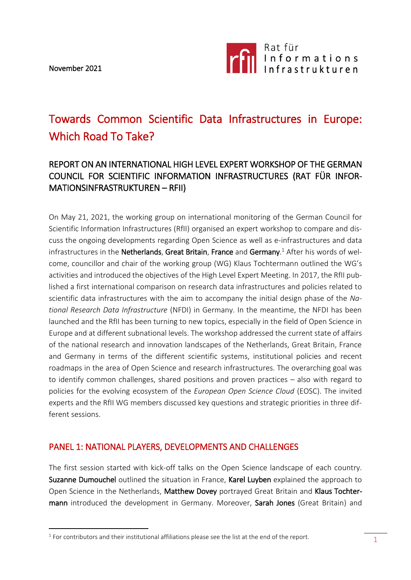November 2021

<u>.</u>



# Towards Common Scientific Data Infrastructures in Europe: Which Road To Take?

# REPORT ON AN INTERNATIONAL HIGH LEVEL EXPERT WORKSHOP OF THE GERMAN COUNCIL FOR SCIENTIFIC INFORMATION INFRASTRUCTURES (RAT FÜR INFOR-MATIONSINFRASTRUKTUREN – RFII)

On May 21, 2021, the working group on international monitoring of the German Council for Scientific Information Infrastructures (RfII) organised an expert workshop to compare and discuss the ongoing developments regarding Open Science as well as e-infrastructures and data infrastructures in the Netherlands, Great Britain, France and Germany.<sup>1</sup> After his words of welcome, councillor and chair of the working group (WG) Klaus Tochtermann outlined the WG's activities and introduced the objectives of the High Level Expert Meeting. In 2017, the RfII published a first international comparison on research data infrastructures and policies related to scientific data infrastructures with the aim to accompany the initial design phase of the *National Research Data Infrastructure* (NFDI) in Germany. In the meantime, the NFDI has been launched and the RfII has been turning to new topics, especially in the field of Open Science in Europe and at different subnational levels. The workshop addressed the current state of affairs of the national research and innovation landscapes of the Netherlands, Great Britain, France and Germany in terms of the different scientific systems, institutional policies and recent roadmaps in the area of Open Science and research infrastructures. The overarching goal was to identify common challenges, shared positions and proven practices – also with regard to policies for the evolving ecosystem of the *European Open Science Cloud* (EOSC). The invited experts and the RfII WG members discussed key questions and strategic priorities in three different sessions.

#### PANEL 1: NATIONAL PLAYERS, DEVELOPMENTS AND CHALLENGES

The first session started with kick-off talks on the Open Science landscape of each country. Suzanne Dumouchel outlined the situation in France, Karel Luyben explained the approach to Open Science in the Netherlands, Matthew Dovey portrayed Great Britain and Klaus Tochtermann introduced the development in Germany. Moreover, Sarah Jones (Great Britain) and

 $<sup>1</sup>$  For contributors and their institutional affiliations please see the list at the end of the report.</sup>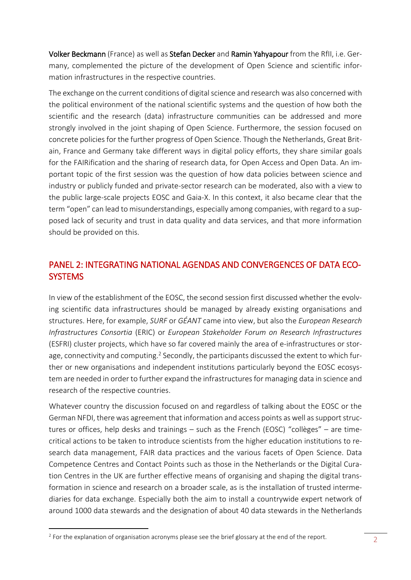Volker Beckmann (France) as well as Stefan Decker and Ramin Yahyapour from the RfII, i.e. Germany, complemented the picture of the development of Open Science and scientific information infrastructures in the respective countries.

The exchange on the current conditions of digital science and research was also concerned with the political environment of the national scientific systems and the question of how both the scientific and the research (data) infrastructure communities can be addressed and more strongly involved in the joint shaping of Open Science. Furthermore, the session focused on concrete policies for the further progress of Open Science. Though the Netherlands, Great Britain, France and Germany take different ways in digital policy efforts, they share similar goals for the FAIRification and the sharing of research data, for Open Access and Open Data. An important topic of the first session was the question of how data policies between science and industry or publicly funded and private-sector research can be moderated, also with a view to the public large-scale projects EOSC and Gaia-X. In this context, it also became clear that the term "open" can lead to misunderstandings, especially among companies, with regard to a supposed lack of security and trust in data quality and data services, and that more information should be provided on this.

# PANEL 2: INTEGRATING NATIONAL AGENDAS AND CONVERGENCES OF DATA ECO-**SYSTEMS**

In view of the establishment of the EOSC, the second session first discussed whether the evolving scientific data infrastructures should be managed by already existing organisations and structures. Here, for example, *SURF* or *GÉANT* came into view, but also the *European Research Infrastructures Consortia* (ERIC) or *European Stakeholder Forum on Research Infrastructures* (ESFRI) cluster projects, which have so far covered mainly the area of e-infrastructures or storage, connectivity and computing.<sup>2</sup> Secondly, the participants discussed the extent to which further or new organisations and independent institutions particularly beyond the EOSC ecosystem are needed in order to further expand the infrastructures for managing data in science and research of the respective countries.

Whatever country the discussion focused on and regardless of talking about the EOSC or the German NFDI, there was agreement that information and access points as well as support structures or offices, help desks and trainings – such as the French (EOSC) "collèges" – are timecritical actions to be taken to introduce scientists from the higher education institutions to research data management, FAIR data practices and the various facets of Open Science. Data Competence Centres and Contact Points such as those in the Netherlands or the Digital Curation Centres in the UK are further effective means of organising and shaping the digital transformation in science and research on a broader scale, as is the installation of trusted intermediaries for data exchange. Especially both the aim to install a countrywide expert network of around 1000 data stewards and the designation of about 40 data stewards in the Netherlands

<u>.</u>

 $2$  For the explanation of organisation acronyms please see the brief glossary at the end of the report.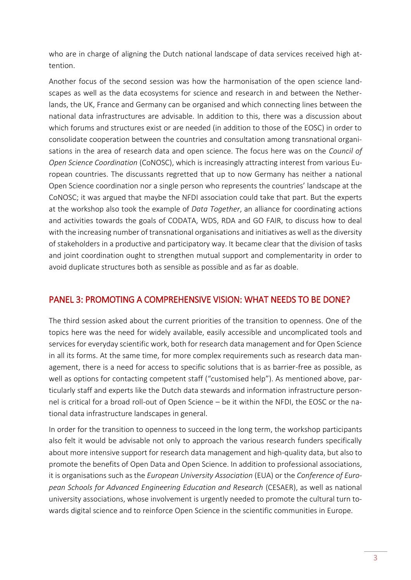who are in charge of aligning the Dutch national landscape of data services received high attention.

Another focus of the second session was how the harmonisation of the open science landscapes as well as the data ecosystems for science and research in and between the Netherlands, the UK, France and Germany can be organised and which connecting lines between the national data infrastructures are advisable. In addition to this, there was a discussion about which forums and structures exist or are needed (in addition to those of the EOSC) in order to consolidate cooperation between the countries and consultation among transnational organisations in the area of research data and open science. The focus here was on the *Council of Open Science Coordination* (CoNOSC), which is increasingly attracting interest from various European countries. The discussants regretted that up to now Germany has neither a national Open Science coordination nor a single person who represents the countries' landscape at the CoNOSC; it was argued that maybe the NFDI association could take that part. But the experts at the workshop also took the example of *Data Together*, an alliance for coordinating actions and activities towards the goals of CODATA, WDS, RDA and GO FAIR, to discuss how to deal with the increasing number of transnational organisations and initiatives as well as the diversity of stakeholders in a productive and participatory way. It became clear that the division of tasks and joint coordination ought to strengthen mutual support and complementarity in order to avoid duplicate structures both as sensible as possible and as far as doable.

### PANEL 3: PROMOTING A COMPREHENSIVE VISION: WHAT NEEDS TO BE DONE?

The third session asked about the current priorities of the transition to openness. One of the topics here was the need for widely available, easily accessible and uncomplicated tools and services for everyday scientific work, both for research data management and for Open Science in all its forms. At the same time, for more complex requirements such as research data management, there is a need for access to specific solutions that is as barrier-free as possible, as well as options for contacting competent staff ("customised help"). As mentioned above, particularly staff and experts like the Dutch data stewards and information infrastructure personnel is critical for a broad roll-out of Open Science – be it within the NFDI, the EOSC or the national data infrastructure landscapes in general.

In order for the transition to openness to succeed in the long term, the workshop participants also felt it would be advisable not only to approach the various research funders specifically about more intensive support for research data management and high-quality data, but also to promote the benefits of Open Data and Open Science. In addition to professional associations, it is organisations such as the *European University Association* (EUA) or the *Conference of European Schools for Advanced Engineering Education and Research* (CESAER), as well as national university associations, whose involvement is urgently needed to promote the cultural turn towards digital science and to reinforce Open Science in the scientific communities in Europe.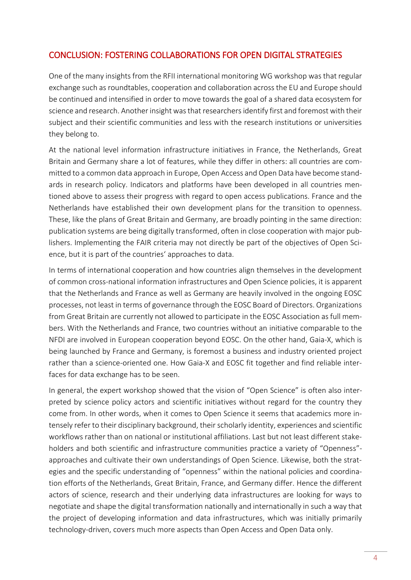### CONCLUSION: FOSTERING COLLABORATIONS FOR OPEN DIGITAL STRATEGIES

One of the many insights from the RFII international monitoring WG workshop was that regular exchange such as roundtables, cooperation and collaboration across the EU and Europe should be continued and intensified in order to move towards the goal of a shared data ecosystem for science and research. Another insight was that researchers identify first and foremost with their subject and their scientific communities and less with the research institutions or universities they belong to.

At the national level information infrastructure initiatives in France, the Netherlands, Great Britain and Germany share a lot of features, while they differ in others: all countries are committed to a common data approach in Europe, Open Access and Open Data have become standards in research policy. Indicators and platforms have been developed in all countries mentioned above to assess their progress with regard to open access publications. France and the Netherlands have established their own development plans for the transition to openness. These, like the plans of Great Britain and Germany, are broadly pointing in the same direction: publication systems are being digitally transformed, often in close cooperation with major publishers. Implementing the FAIR criteria may not directly be part of the objectives of Open Science, but it is part of the countries' approaches to data.

In terms of international cooperation and how countries align themselves in the development of common cross-national information infrastructures and Open Science policies, it is apparent that the Netherlands and France as well as Germany are heavily involved in the ongoing EOSC processes, not least in terms of governance through the EOSC Board of Directors. Organizations from Great Britain are currently not allowed to participate in the EOSC Association as full members. With the Netherlands and France, two countries without an initiative comparable to the NFDI are involved in European cooperation beyond EOSC. On the other hand, Gaia-X, which is being launched by France and Germany, is foremost a business and industry oriented project rather than a science-oriented one. How Gaia-X and EOSC fit together and find reliable interfaces for data exchange has to be seen.

In general, the expert workshop showed that the vision of "Open Science" is often also interpreted by science policy actors and scientific initiatives without regard for the country they come from. In other words, when it comes to Open Science it seems that academics more intensely refer to their disciplinary background, their scholarly identity, experiences and scientific workflows rather than on national or institutional affiliations. Last but not least different stakeholders and both scientific and infrastructure communities practice a variety of "Openness" approaches and cultivate their own understandings of Open Science. Likewise, both the strategies and the specific understanding of "openness" within the national policies and coordination efforts of the Netherlands, Great Britain, France, and Germany differ. Hence the different actors of science, research and their underlying data infrastructures are looking for ways to negotiate and shape the digital transformation nationally and internationally in such a way that the project of developing information and data infrastructures, which was initially primarily technology-driven, covers much more aspects than Open Access and Open Data only.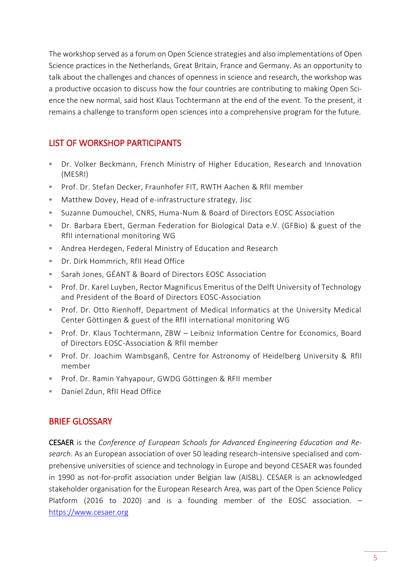The workshop served as a forum on Open Science strategies and also implementations of Open Science practices in the Netherlands, Great Britain, France and Germany. As an opportunity to talk about the challenges and chances of openness in science and research, the workshop was a productive occasion to discuss how the four countries are contributing to making Open Science the new normal, said host Klaus Tochtermann at the end of the event. To the present, it remains a challenge to transform open sciences into a comprehensive program for the future.

## LIST OF WORKSHOP PARTICIPANTS

- Dr. Volker Beckmann, French Ministry of Higher Education, Research and Innovation (MESRI)
- Prof. Dr. Stefan Decker, Fraunhofer FIT, RWTH Aachen & RfII member
- **Matthew Dovey, Head of e-infrastructure strategy, Jisc**
- Suzanne Dumouchel, CNRS, Huma-Num & Board of Directors EOSC Association
- Dr. Barbara Ebert, German Federation for Biological Data e.V. (GFBio) & guest of the RfII international monitoring WG
- Andrea Herdegen, Federal Ministry of Education and Research
- Dr. Dirk Hommrich, RfII Head Office
- Sarah Jones, GÉANT & Board of Directors EOSC Association
- Prof. Dr. Karel Luyben, Rector Magnificus Emeritus of the Delft University of Technology and President of the Board of Directors EOSC-Association
- **Prof. Dr. Otto Rienhoff, Department of Medical Informatics at the University Medical** Center Göttingen & guest of the RfII international monitoring WG
- Prof. Dr. Klaus Tochtermann, ZBW Leibniz Information Centre for Economics, Board of Directors EOSC-Association & RfII member
- **Prof. Dr. Joachim Wambsganß, Centre for Astronomy of Heidelberg University & RfII** member
- **Prof. Dr. Ramin Yahyapour, GWDG Göttingen & RFII member**
- Daniel Zdun, RfII Head Office

#### BRIEF GLOSSARY

CESAER is the *Conference of European Schools for Advanced Engineering Education and Research*. As an European association of over 50 leading research-intensive specialised and comprehensive universities of science and technology in Europe and beyond CESAER was founded in 1990 as not-for-profit association under Belgian law (AISBL). CESAER is an acknowledged stakeholder organisation for the European Research Area, was part of the Open Science Policy Platform (2016 to 2020) and is a founding member of the EOSC association. – [https://www.cesaer.org](https://www.cesaer.org/)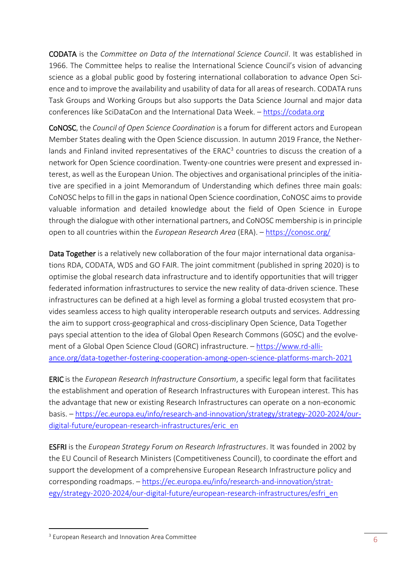CODATA is the *Committee on Data of the International Science Council*. It was established in 1966. The Committee helps to realise the International Science Council's vision of advancing science as a global public good by fostering international collaboration to advance Open Science and to improve the availability and usability of data for all areas of research. CODATA runs Task Groups and Working Groups but also supports the Data Science Journal and major data conferences like SciDataCon and the International Data Week. – [https://codata.org](https://codata.org/)

CoNOSC, the *Council of Open Science Coordination* is a forum for different actors and European Member States dealing with the Open Science discussion. In autumn 2019 France, the Netherlands and Finland invited representatives of the  $ERAC<sup>3</sup>$  countries to discuss the creation of a network for Open Science coordination. Twenty-one countries were present and expressed interest, as well as the European Union. The objectives and organisational principles of the initiative are specified in a joint Memorandum of Understanding which defines three main goals: CoNOSC helps to fill in the gaps in national Open Science coordination, CoNOSC aimsto provide valuable information and detailed knowledge about the field of Open Science in Europe through the dialogue with other international partners, and CoNOSC membership is in principle open to all countries within the *European Research Area* (ERA). – <https://conosc.org/>

Data Together is a relatively new collaboration of the four major international data organisations RDA, CODATA, WDS and GO FAIR. The joint commitment (published in spring 2020) is to optimise the global research data infrastructure and to identify opportunities that will trigger federated information infrastructures to service the new reality of data-driven science. These infrastructures can be defined at a high level as forming a global trusted ecosystem that provides seamless access to high quality interoperable research outputs and services. Addressing the aim to support cross-geographical and cross-disciplinary Open Science, Data Together pays special attention to the idea of Global Open Research Commons (GOSC) and the evolvement of a Global Open Science Cloud (GORC) infrastructure. – [https://www.rd-alli](https://www.rd-alliance.org/data-together-fostering-cooperation-among-open-science-platforms-march-2021)[ance.org/data-together-fostering-cooperation-among-open-science-platforms-march-2021](https://www.rd-alliance.org/data-together-fostering-cooperation-among-open-science-platforms-march-2021)

ERIC is the *European Research Infrastructure Consortium*, a specific legal form that facilitates the establishment and operation of Research Infrastructures with European interest. This has the advantage that new or existing Research Infrastructures can operate on a non-economic basis. – [https://ec.europa.eu/info/research-and-innovation/strategy/strategy-2020-2024/our](https://ec.europa.eu/info/research-and-innovation/strategy/strategy-2020-2024/our-digital-future/european-research-infrastructures/eric_en)[digital-future/european-research-infrastructures/eric\\_en](https://ec.europa.eu/info/research-and-innovation/strategy/strategy-2020-2024/our-digital-future/european-research-infrastructures/eric_en)

ESFRI is the *European Strategy Forum on Research Infrastructures*. It was founded in 2002 by the EU Council of Research Ministers (Competitiveness Council), to coordinate the effort and support the development of a comprehensive European Research Infrastructure policy and corresponding roadmaps. – [https://ec.europa.eu/info/research-and-innovation/strat](https://ec.europa.eu/info/research-and-innovation/strategy/strategy-2020-2024/our-digital-future/european-research-infrastructures/esfri_en)[egy/strategy-2020-2024/our-digital-future/european-research-infrastructures/esfri\\_en](https://ec.europa.eu/info/research-and-innovation/strategy/strategy-2020-2024/our-digital-future/european-research-infrastructures/esfri_en)

<u>.</u>

<sup>&</sup>lt;sup>3</sup> European Research and Innovation Area Committee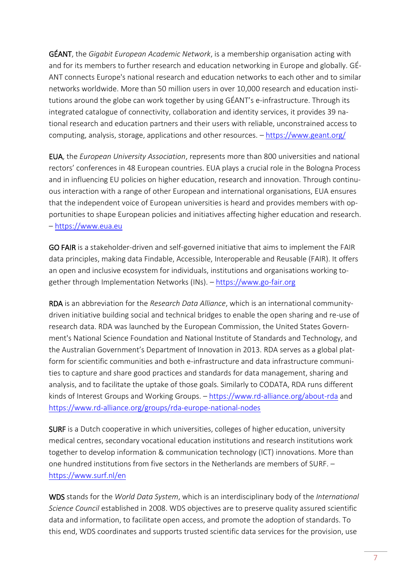GÉANT, the *Gigabit European Academic Network*, is a membership organisation acting with and for its members to further research and education networking in Europe and globally. GÉ-ANT connects Europe's national research and education networks to each other and to similar networks worldwide. More than 50 million users in over 10,000 research and education institutions around the globe can work together by using GÉANT's e-infrastructure. Through its integrated catalogue of connectivity, collaboration and identity services, it provides 39 national research and education partners and their users with reliable, unconstrained access to computing, analysis, storage, applications and other resources. – <https://www.geant.org/>

EUA, the *European University Association*, represents more than 800 universities and national rectors' conferences in 48 European countries. EUA plays a crucial role in the Bologna Process and in influencing EU policies on higher education, research and innovation. Through continuous interaction with a range of other European and international organisations, EUA ensures that the independent voice of European universities is heard and provides members with opportunities to shape European policies and initiatives affecting higher education and research. – [https://www.eua.eu](https://www.eua.eu/)

GO FAIR is a stakeholder-driven and self-governed initiative that aims to implement the FAIR data principles, making data Findable, Accessible, Interoperable and Reusable (FAIR). It offers an open and inclusive ecosystem for individuals, institutions and organisations working together through Implementation Networks (INs). – [https://www.go-fair.org](https://www.go-fair.org/)

RDA is an abbreviation for the *Research Data Alliance*, which is an international communitydriven initiative building social and technical bridges to enable the open sharing and re-use of research data. RDA was launched by the European Commission, the United States Government's National Science Foundation and National Institute of Standards and Technology, and the Australian Government's Department of Innovation in 2013. RDA serves as a global platform for scientific communities and both e-infrastructure and data infrastructure communities to capture and share good practices and standards for data management, sharing and analysis, and to facilitate the uptake of those goals. Similarly to CODATA, RDA runs different kinds of Interest Groups and Working Groups. – <https://www.rd-alliance.org/about-rda> and <https://www.rd-alliance.org/groups/rda-europe-national-nodes>

SURF is a Dutch cooperative in which universities, colleges of higher education, university medical centres, secondary vocational education institutions and research institutions work together to develop information & communication technology (ICT) innovations. More than one hundred institutions from five sectors in the Netherlands are members of SURF. – <https://www.surf.nl/en>

WDS stands for the *World Data System*, which is an interdisciplinary body of the *International Science Council* established in 2008. WDS objectives are to preserve quality assured scientific data and information, to facilitate open access, and promote the adoption of standards. To this end, WDS coordinates and supports trusted scientific data services for the provision, use